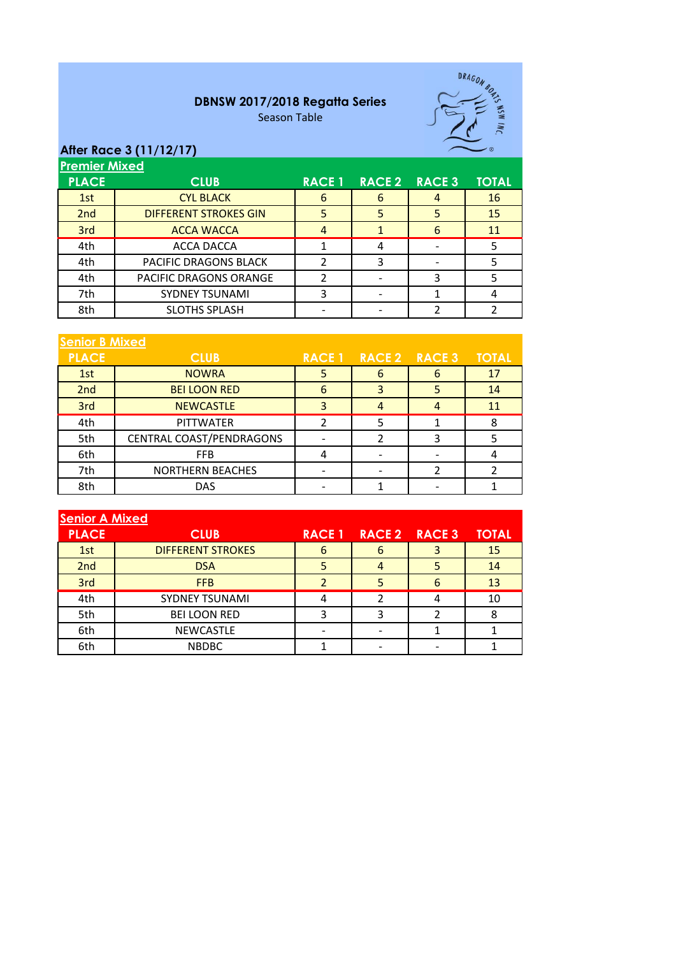## **DBNSW 2017/2018 Regatta Series**

Season Table



## **After Race 3 (11/12/17)**

**Premier Mixed**

| <b>FIEITHEI MIXEU</b>        |               |               |               |              |  |
|------------------------------|---------------|---------------|---------------|--------------|--|
| <b>CLUB</b>                  | <b>RACE 1</b> | <b>RACE 2</b> | <b>RACE 3</b> | <b>TOTAL</b> |  |
| <b>CYL BLACK</b>             | 6             | 6             |               | <b>16</b>    |  |
| <b>DIFFERENT STROKES GIN</b> | 5             | 5             |               | 15           |  |
| <b>ACCA WACCA</b>            | 4             |               | 6             | 11           |  |
| ACCA DACCA                   |               | 4             |               |              |  |
| PACIFIC DRAGONS BLACK        |               | 3             |               |              |  |
| PACIFIC DRAGONS ORANGE       |               |               |               |              |  |
| <b>SYDNEY TSUNAMI</b>        |               |               |               |              |  |
| <b>SLOTHS SPLASH</b>         |               |               |               |              |  |
|                              |               |               |               |              |  |

| <b>Senior B Mixed</b> |                          |               |               |   |              |
|-----------------------|--------------------------|---------------|---------------|---|--------------|
| <b>PLACE</b>          | <b>CLUB</b>              | <b>RACE 1</b> | RACE 2 RACE 3 |   | <b>TOTAL</b> |
| 1st                   | <b>NOWRA</b>             |               | 6             | b | 17           |
| 2nd                   | <b>BEI LOON RED</b>      | 6             | 3             |   | 14           |
| 3rd                   | <b>NEWCASTLE</b>         | 3             | 4             |   | 11           |
| 4th                   | <b>PITTWATER</b>         |               |               |   | 8            |
| 5th                   | CENTRAL COAST/PENDRAGONS |               |               |   |              |
| 6th                   | <b>FFB</b>               | 4             |               |   |              |
| 7th                   | <b>NORTHERN BEACHES</b>  |               |               |   |              |
| 8th                   | <b>DAS</b>               |               |               |   |              |

| <b>Senior A Mixed</b> |                          |               |               |   |              |
|-----------------------|--------------------------|---------------|---------------|---|--------------|
| <b>PLACE</b>          | <b>CLUB</b>              | <b>RACE 1</b> | RACE 2 RACE 3 |   | <b>TOTAL</b> |
| 1st                   | <b>DIFFERENT STROKES</b> | 6             | 6             |   | 15           |
| 2nd                   | <b>DSA</b>               |               |               |   | 14           |
| 3rd                   | <b>FFB</b>               |               |               | h | 13           |
| 4th                   | <b>SYDNEY TSUNAMI</b>    |               | 2             |   | 10           |
| 5th                   | <b>BEI LOON RED</b>      | ς             |               |   |              |
| 6th                   | <b>NEWCASTLE</b>         |               |               |   |              |
| 6th                   | <b>NBDBC</b>             |               |               |   |              |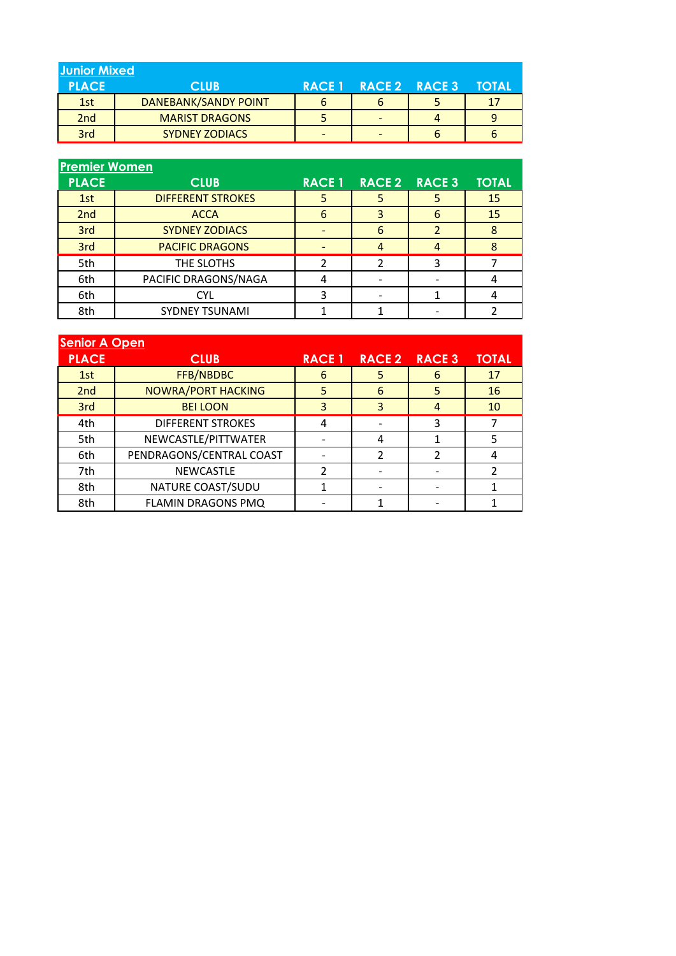| <b>Junior Mixed</b> |                             |                          |              |
|---------------------|-----------------------------|--------------------------|--------------|
| <b>PLACE</b>        | <b>CLUB</b>                 | RACE 1 RACE 2 RACE 3     | <b>TOTAL</b> |
| 1st                 | <b>DANEBANK/SANDY POINT</b> | b                        | 17           |
| 2 <sub>nd</sub>     | <b>MARIST DRAGONS</b>       |                          |              |
| 3rd                 | <b>SYDNEY ZODIACS</b>       | $\overline{\phantom{a}}$ |              |

| <b>Premier Women</b> |                          |               |               |               |              |  |
|----------------------|--------------------------|---------------|---------------|---------------|--------------|--|
| <b>PLACE</b>         | <b>CLUB</b>              | <b>RACE 1</b> | <b>RACE 2</b> | <b>RACE 3</b> | <b>TOTAL</b> |  |
| 1st                  | <b>DIFFERENT STROKES</b> | 5             | 5             |               | 15           |  |
| 2nd                  | <b>ACCA</b>              | 6             | 3             | h             | 15           |  |
| 3rd                  | <b>SYDNEY ZODIACS</b>    |               | 6             |               | 8            |  |
| 3rd                  | <b>PACIFIC DRAGONS</b>   |               | 4             | 4             | 8            |  |
| 5th                  | THE SLOTHS               | 2             | 2             |               |              |  |
| 6th                  | PACIFIC DRAGONS/NAGA     |               |               |               |              |  |
| 6th                  | CYL                      |               |               |               |              |  |
| 8th                  | <b>SYDNEY TSUNAMI</b>    |               |               |               |              |  |

| <b>Senior A Open</b> |                           |                |               |               |              |  |
|----------------------|---------------------------|----------------|---------------|---------------|--------------|--|
| <b>PLACE</b>         | <b>CLUB</b>               | <b>RACE 1</b>  | <b>RACE 2</b> | <b>RACE 3</b> | <b>TOTAL</b> |  |
| 1st                  | FFB/NBDBC                 | 6              | 5             | 6             | 17           |  |
| 2nd                  | <b>NOWRA/PORT HACKING</b> | 5              | 6             | 5             | 16           |  |
| 3rd                  | <b>BEI LOON</b>           | 3              | 3             | 4             | 10           |  |
| 4th                  | <b>DIFFERENT STROKES</b>  | 4              |               | ς             |              |  |
| 5th                  | NEWCASTLE/PITTWATER       |                | 4             |               | 5            |  |
| 6th                  | PENDRAGONS/CENTRAL COAST  |                | 2             |               | 4            |  |
| 7th                  | <b>NEWCASTLE</b>          | $\overline{2}$ |               |               |              |  |
| 8th                  | NATURE COAST/SUDU         |                |               |               |              |  |
| 8th                  | FLAMIN DRAGONS PMQ        |                |               |               |              |  |